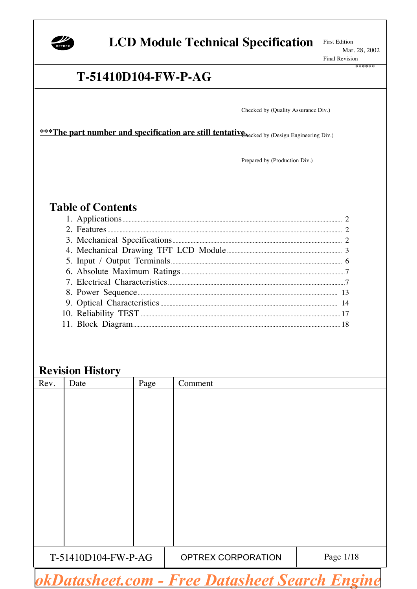

### **LCD Module Technical Specification**

**First Edition** Mar. 28, 2002 **Final Revision** 

### T-51410D104-FW-P-AG

Checked by (Quality Assurance Div.)

\*\*\* The part number and specification are still tentative hecked by (Design Engineering Div.)

Prepared by (Production Div.)

### **Table of Contents**

### **Revision History**

| Rev.                | Date | Page | Comment            |           |
|---------------------|------|------|--------------------|-----------|
|                     |      |      |                    |           |
|                     |      |      |                    |           |
|                     |      |      |                    |           |
|                     |      |      |                    |           |
|                     |      |      |                    |           |
|                     |      |      |                    |           |
|                     |      |      |                    |           |
|                     |      |      |                    |           |
|                     |      |      |                    |           |
|                     |      |      |                    |           |
|                     |      |      |                    |           |
|                     |      |      |                    |           |
|                     |      |      |                    |           |
| T-51410D104-FW-P-AG |      |      | OPTREX CORPORATION | Page 1/18 |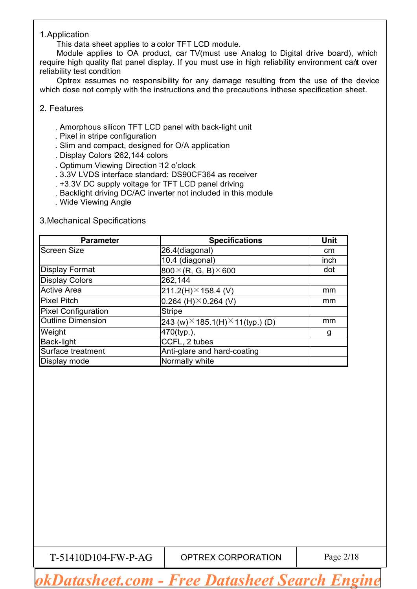#### 1.Application

This data sheet applies to a color TFT LCD module.

Module applies to OA product, car TV(must use Analog to Digital drive board), which require high quality flat panel display. If you must use in high reliability environment can't over reliability test condition

Optrex assumes no responsibility for any damage resulting from the use of the device which dose not comply with the instructions and the precautions inthese specification sheet.

#### 2. Features

- . Amorphous silicon TFT LCD panel with back-light unit
- . Pixel in stripe configuration
- . Slim and compact, designed for O/A application
- . Display Colors:262,144 colors
- . Optimum Viewing Direction:12 o'clock
- . 3.3V LVDS interface standard: DS90CF364 as receiver
- . +3.3V DC supply voltage for TFT LCD panel driving
- . Backlight driving DC/AC inverter not included in this module
- . Wide Viewing Angle

#### 3.Mechanical Specifications

| <b>Parameter</b>           | <b>Specifications</b>                           | Unit |
|----------------------------|-------------------------------------------------|------|
| <b>Screen Size</b>         | 26.4(diagonal)                                  | cm   |
|                            | 10.4 (diagonal)                                 | inch |
| <b>Display Format</b>      | $800 \times (R, G, B) \times 600$               | dot  |
| <b>Display Colors</b>      | 262,144                                         |      |
| <b>Active Area</b>         | $211.2(H) \times 158.4$ (V)                     | mm   |
| <b>Pixel Pitch</b>         | 0.264 (H) $\times$ 0.264 (V)                    | mm   |
| <b>Pixel Configuration</b> | <b>Stripe</b>                                   |      |
| <b>Outline Dimension</b>   | 243 (w) $\times$ 185.1(H) $\times$ 11(typ.) (D) | mm   |
| Weight                     | 470(typ.),                                      | g    |
| <b>Back-light</b>          | CCFL, 2 tubes                                   |      |
| Surface treatment          | Anti-glare and hard-coating                     |      |
| Display mode               | Normally white                                  |      |

T-51410D104-FW-P-AG | OPTREX CORPORATION | Page 2/18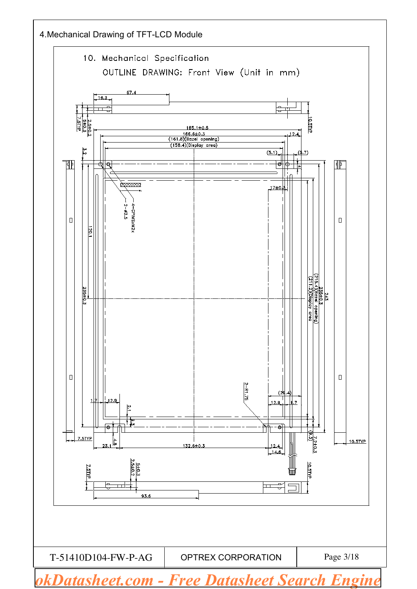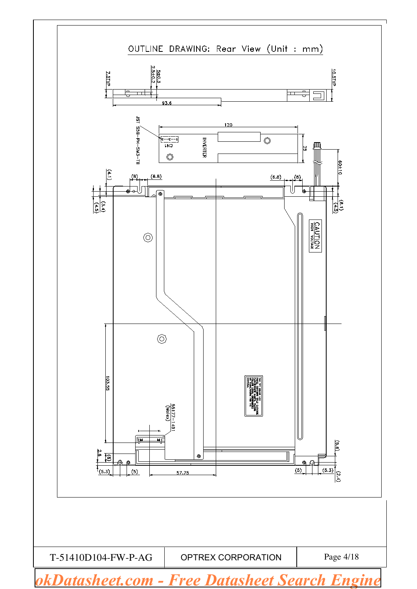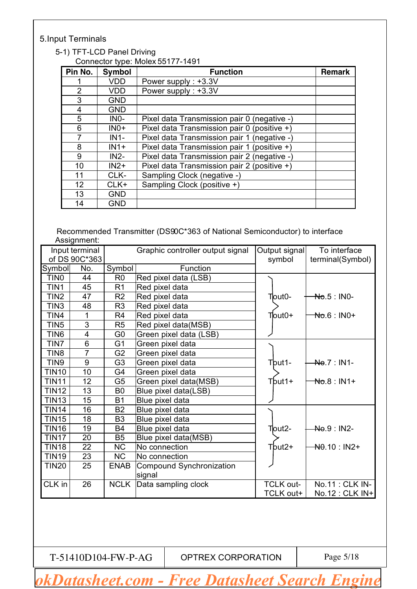### 5.Input Terminals

#### 5-1) TFT-LCD Panel Driving Connector type: Molex 55177-1491

| Pin No.        | <b>Symbol</b> | <b>Function</b>                             | <b>Remark</b> |
|----------------|---------------|---------------------------------------------|---------------|
|                | <b>VDD</b>    | Power supply: +3.3V                         |               |
| $\overline{2}$ | <b>VDD</b>    | Power supply: +3.3V                         |               |
| 3              | <b>GND</b>    |                                             |               |
| 4              | <b>GND</b>    |                                             |               |
| 5              | $INO-$        | Pixel data Transmission pair 0 (negative -) |               |
| 6              | $INO+$        | Pixel data Transmission pair 0 (positive +) |               |
| 7              | $IN1-$        | Pixel data Transmission pair 1 (negative -) |               |
| 8              | $IN1+$        | Pixel data Transmission pair 1 (positive +) |               |
| 9              | $IN2-$        | Pixel data Transmission pair 2 (negative -) |               |
| 10             | $IN2+$        | Pixel data Transmission pair 2 (positive +) |               |
| 11             | CLK-          | Sampling Clock (negative -)                 |               |
| 12             | CLK+          | Sampling Clock (positive +)                 |               |
| 13             | <b>GND</b>    |                                             |               |
| 14             | <b>GND</b>    |                                             |               |

Recommended Transmitter (DS90C\*363 of National Semiconductor) to interface Assignment:

|                   | Input terminal |                | Graphic controller output signal | Output signal    | To interface             |
|-------------------|----------------|----------------|----------------------------------|------------------|--------------------------|
|                   | of DS 90C*363  |                |                                  | symbol           | terminal(Symbol)         |
| Symbol            | No.            | Symbol         | Function                         |                  |                          |
| TIN <sub>0</sub>  | 44             | R <sub>0</sub> | Red pixel data (LSB)             |                  |                          |
| TIN1              | 45             | R <sub>1</sub> | Red pixel data                   |                  |                          |
| TIN <sub>2</sub>  | 47             | R <sub>2</sub> | Red pixel data                   | Tout0-           | <del>No</del> .5 : IN0-  |
| TIN <sub>3</sub>  | 48             | R <sub>3</sub> | Red pixel data                   |                  |                          |
| TIN4              | $\mathbf 1$    | R <sub>4</sub> | Red pixel data                   | Tout0+           | No.6 : IN0+              |
| TIN <sub>5</sub>  | 3              | R <sub>5</sub> | Red pixel data(MSB)              |                  |                          |
| TIN <sub>6</sub>  | 4              | G <sub>0</sub> | Green pixel data (LSB)           |                  |                          |
| TIN7              | 6              | G <sub>1</sub> | Green pixel data                 |                  |                          |
| TIN <sub>8</sub>  | $\overline{7}$ | G <sub>2</sub> | Green pixel data                 |                  |                          |
| TIN <sub>9</sub>  | 9              | G <sub>3</sub> | Green pixel data                 | Tbut1-           | No.7: IN1-               |
| <b>TIN10</b>      | 10             | G4             | Green pixel data                 |                  |                          |
| <b>TIN11</b>      | 12             | G <sub>5</sub> | Green pixel data(MSB)            | Tbut1+           | <del>No</del> .8 : IN1+  |
| <b>TIN12</b>      | 13             | B <sub>0</sub> | Blue pixel data(LSB)             |                  |                          |
| <b>TIN13</b>      | 15             | <b>B1</b>      | Blue pixel data                  |                  |                          |
| <b>TIN14</b>      | 16             | <b>B2</b>      | Blue pixel data                  |                  |                          |
| <b>TIN15</b>      | 18             | B <sub>3</sub> | Blue pixel data                  |                  |                          |
| <b>TIN16</b>      | 19             | B4             | Blue pixel data                  | Tout2-           | No.9 : IN2-              |
| TIN <sub>17</sub> | 20             | B <sub>5</sub> | Blue pixel data(MSB)             |                  |                          |
| <b>TIN18</b>      | 22             | <b>NC</b>      | No connection                    | Tbut2+           | <del>N0</del> .10 : IN2+ |
| <b>TIN19</b>      | 23             | <b>NC</b>      | No connection                    |                  |                          |
| <b>TIN20</b>      | 25             | <b>ENAB</b>    | Compound Synchronization         |                  |                          |
|                   |                |                | signal                           |                  |                          |
| CLK in            | 26             |                | NCLK   Data sampling clock       | <b>TCLK out-</b> | No.11 : CLK IN-          |
|                   |                |                |                                  | TCLK out+        | No.12 : CLK IN+          |

 $T-51410D104-FW-P-AG$  OPTREX CORPORATION  $\vert$  Page 5/18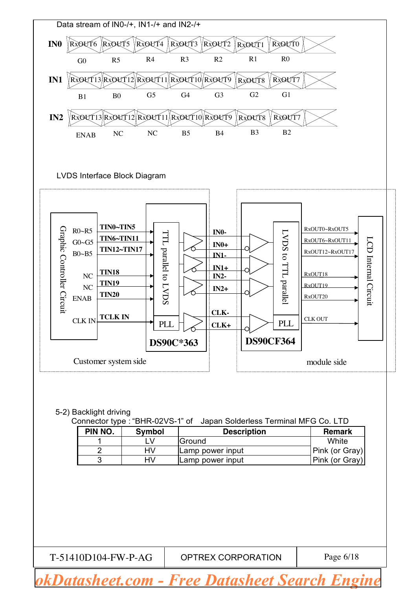

 $T-51410D104-FW-P-AG$  OPTREX CORPORATION  $P-6/18$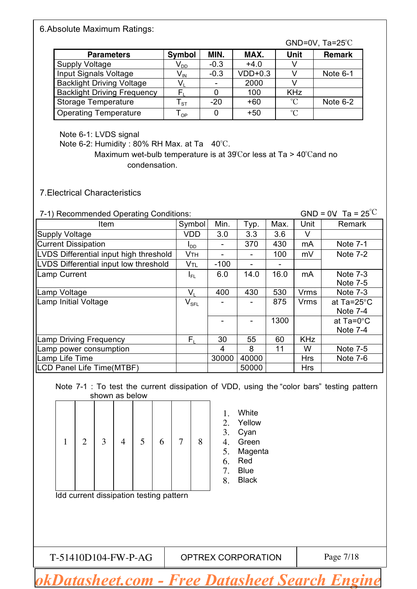#### 6.Absolute Maximum Ratings:

|                                    |                            |        |           |                 | $GND=0V$ , Ta=25 $°C$ |
|------------------------------------|----------------------------|--------|-----------|-----------------|-----------------------|
| <b>Parameters</b>                  | <b>Symbol</b>              | MIN.   | MAX.      | <b>Unit</b>     | <b>Remark</b>         |
| <b>Supply Voltage</b>              | V <sub>dd</sub>            | $-0.3$ | $+4.0$    |                 |                       |
| Input Signals Voltage              | $\mathsf{V}_{\mathsf{IN}}$ | $-0.3$ | $VDD+0.3$ |                 | Note $6-1$            |
| <b>Backlight Driving Voltage</b>   | V,                         |        | 2000      |                 |                       |
| <b>Backlight Driving Frequency</b> |                            |        | 100       | <b>KHz</b>      |                       |
| <b>Storage Temperature</b>         | ${\sf T}_{\texttt{ST}}$    | $-20$  | $+60$     | $^{\circ}C$     | Note $6-2$            |
| <b>Operating Temperature</b>       | OP                         |        | $+50$     | $\rm ^{\circ}C$ |                       |

Note 6-1: LVDS signal

Note 6-2: Humidity : 80% RH Max. at Ta 40℃.

Maximum wet-bulb temperature is at 39℃or less at Ta > 40℃and no condensation.

7.Electrical Characteristics

7-1) Recommended Operating Conditions: GND = 0V, Ta =  $25^{\circ}$ C

| <b>Item</b>                            | Symbol                      | Min.   | Typ.  | Max.                     | Unit        | Remark             |
|----------------------------------------|-----------------------------|--------|-------|--------------------------|-------------|--------------------|
| <b>Supply Voltage</b>                  | <b>VDD</b>                  | 3.0    | 3.3   | 3.6                      | V           |                    |
| <b>Current Dissipation</b>             | ool                         |        | 370   | 430                      | mA          | <b>Note 7-1</b>    |
| LVDS Differential input high threshold | Vтн                         |        |       | 100                      | mV          | Note 7-2           |
| LVDS Differential input low threshold  | V <sub>TL</sub>             | $-100$ | -     | $\overline{\phantom{a}}$ |             |                    |
| Lamp Current                           | I <sub>FL</sub>             | 6.0    | 14.0  | 16.0                     | mA          | <b>Note 7-3</b>    |
|                                        |                             |        |       |                          |             | <b>Note 7-5</b>    |
| Lamp Voltage                           | V.                          | 400    | 430   | 530                      | <b>Vrms</b> | <b>Note 7-3</b>    |
| Lamp Initial Voltage                   | $\mathsf{V}_{\mathsf{SFL}}$ |        |       | 875                      | <b>Vrms</b> | at Ta=25°C         |
|                                        |                             |        |       |                          |             | <b>Note 7-4</b>    |
|                                        |                             |        |       | 1300                     |             | at $Ta=0^{\circ}C$ |
|                                        |                             |        |       |                          |             | Note 7-4           |
| amp Driving Frequency                  | $F_{1}$                     | 30     | 55    | 60                       | <b>KHz</b>  |                    |
| Lamp power consumption                 |                             | 4      | 8     | 11                       | W           | Note 7-5           |
| amp Life Time                          |                             | 30000  | 40000 |                          | <b>Hrs</b>  | <b>Note 7-6</b>    |
| <b>LCD Panel Life Time(MTBF)</b>       |                             |        | 50000 |                          | <b>Hrs</b>  |                    |

Note 7-1 : To test the current dissipation of VDD, using the "color bars" testing pattern shown as below

| 1 | $\overline{2}$                          | 3 | $\overline{4}$ | 5 | 6 | $\tau$ | 8 | White<br>1.<br>Yellow<br>2.<br>3.<br>Cyan<br>Green<br>4.<br>Magenta<br>5.<br>Red<br>6.<br><b>Blue</b><br>7.<br><b>Black</b><br>8. |
|---|-----------------------------------------|---|----------------|---|---|--------|---|-----------------------------------------------------------------------------------------------------------------------------------|
|   | Idd current dissipation testing pattern |   |                |   |   |        |   |                                                                                                                                   |
|   | T-51410D104-FW-P-AG                     |   |                |   |   |        |   | OPTREX CORPORATION<br>Page 7/18                                                                                                   |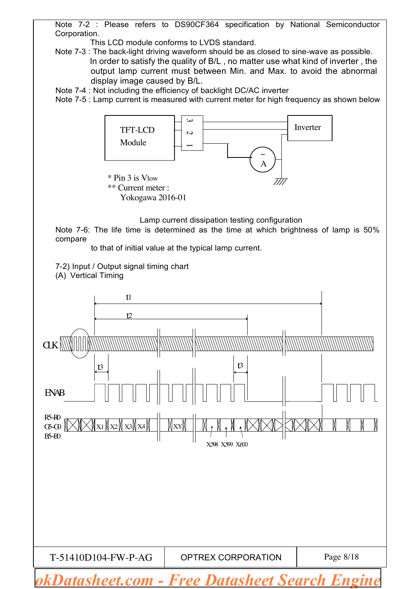Note 7-2 : Please refers to DS90CF364 specification by National Semiconductor Corporation.

This LCD module conforms to LVDS standard.

Note 7-3 : The back-light driving waveform should be as closed to sine-wave as possible. In order to satisfy the quality of B/L , no matter use what kind of inverter , the output lamp current must between Min. and Max. to avoid the abnormal display image caused by B/L.

Note 7-4 : Not including the efficiency of backlight DC/AC inverter

Note 7-5 : Lamp current is measured with current meter for high frequency as shown below



Lamp current dissipation testing configuration

Note 7-6: The life time is determined as the time at which brightness of lamp is 50% compare

to that of initial value at the typical lamp current.

7-2) Input / Output signal timing chart (A) Vertical Timing

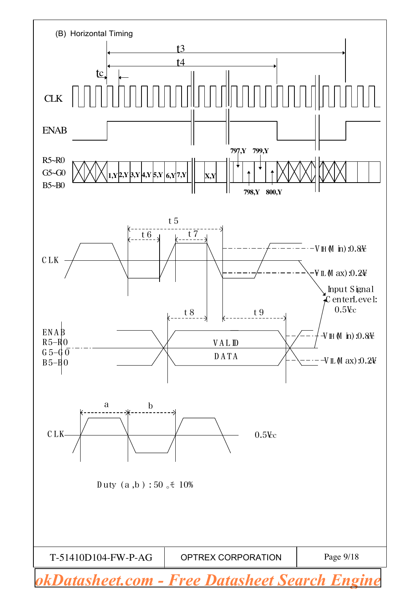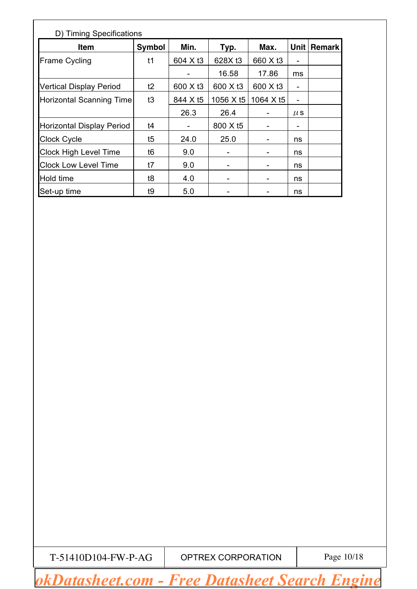| D) Timing Specifications         |               |          |                              |                      |         |        |  |  |  |  |
|----------------------------------|---------------|----------|------------------------------|----------------------|---------|--------|--|--|--|--|
| <b>Item</b>                      | <b>Symbol</b> | Min.     | Typ.                         | Max.                 | Unit    | Remark |  |  |  |  |
| <b>Frame Cycling</b>             | t1            | 604 X t3 | 628X t3                      | 660 X t3             |         |        |  |  |  |  |
|                                  |               |          | 16.58                        | 17.86                | ms      |        |  |  |  |  |
| <b>Vertical Display Period</b>   | t2            | 600 X t3 | 600 X t3                     | 600 X t <sub>3</sub> | -       |        |  |  |  |  |
| <b>Horizontal Scanning Time</b>  | t3            | 844 X t5 | 1056 X t5                    | 1064 X t5            |         |        |  |  |  |  |
|                                  |               | 26.3     | 26.4                         |                      | $\mu$ S |        |  |  |  |  |
| <b>Horizontal Display Period</b> | t4            |          | 800 X t5                     |                      | -       |        |  |  |  |  |
| <b>Clock Cycle</b>               | t5            | 24.0     | 25.0                         |                      | ns      |        |  |  |  |  |
| <b>Clock High Level Time</b>     | t6            | 9.0      |                              |                      | ns      |        |  |  |  |  |
| <b>Clock Low Level Time</b>      | t7            | 9.0      |                              |                      | ns      |        |  |  |  |  |
| Hold time                        | t8            | 4.0      | $\qquad \qquad \blacksquare$ |                      | ns      |        |  |  |  |  |
| Set-up time                      | t9            | 5.0      |                              |                      | ns      |        |  |  |  |  |

 $T-51410D104-FW-P-AG$  OPTREX CORPORATION  $\vert$  Page 10/18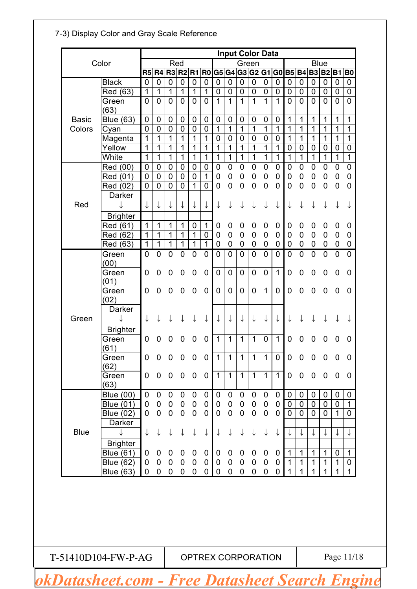|                        |                                      | <b>Input Color Data</b>       |                                      |                          |                          |                          |                  |              |                            |                  |                                   |                          |                  |                  |                            |                   |                             |                             |                  |
|------------------------|--------------------------------------|-------------------------------|--------------------------------------|--------------------------|--------------------------|--------------------------|------------------|--------------|----------------------------|------------------|-----------------------------------|--------------------------|------------------|------------------|----------------------------|-------------------|-----------------------------|-----------------------------|------------------|
| Color                  |                                      |                               | Red<br>Green<br>R5 R4 R3 R2<br>G5 G4 |                          |                          |                          |                  |              |                            |                  | <b>Blue</b><br>G3G2G1G0B5B4B3B2B1 |                          |                  |                  |                            |                   |                             |                             |                  |
|                        |                                      |                               |                                      |                          |                          | R <sub>1</sub>           | <b>R0</b>        |              |                            |                  |                                   |                          |                  |                  |                            |                   |                             |                             | B <sub>0</sub>   |
|                        | <b>Black</b>                         | $\mathbf 0$                   | $\mathbf 0$                          | $\mathbf 0$              | $\mathbf 0$              | 0                        | $\mathbf 0$      | 0            | 0                          | $\boldsymbol{0}$ | $\pmb{0}$                         | $\mathbf 0$              | $\mathbf 0$      | $\mathbf 0$      | $\mathbf 0$                | $\mathbf 0$       | $\mathbf 0$                 | $\mathbf 0$                 | $\mathbf 0$      |
|                        | Red (63)                             | $\mathbf 1$                   | 1                                    | $\mathbf 1$              | 1                        | 1                        | 1                | 0            | 0                          | 0                | 0                                 | 0                        | 0                | 0                | 0                          | 0                 | 0                           | 0                           | 0                |
|                        | Green                                | $\overline{0}$                | $\mathbf 0$                          | 0                        | 0                        | 0                        | 0                | 1            | 1                          | 1                | 1                                 | 1                        | 1                | $\mathbf 0$      | 0                          | 0                 | 0                           | 0                           | 0                |
|                        | (63)                                 |                               |                                      |                          |                          |                          |                  |              |                            |                  |                                   |                          |                  |                  | $\mathbf 1$                |                   |                             |                             |                  |
| <b>Basic</b><br>Colors | Blue $(63)$                          | $\mathbf 0$                   | 0                                    | 0                        | 0                        | 0                        | 0                | 0<br>1       | 0<br>1                     | 0<br>1           | 0<br>1                            | 0<br>$\mathbf{1}$        | $\mathbf 0$<br>1 | 1<br>1           | 1                          | 1<br>1            | 1<br>1                      | 1<br>1                      | 1<br>1           |
|                        | Cyan                                 | $\mathbf 0$<br>1              | $\mathbf 0$<br>1                     | 0<br>1                   | 0<br>1                   | 0<br>1                   | 0<br>1           | 0            | 0                          | 0                | 0                                 |                          |                  |                  | 1                          |                   |                             |                             | 1                |
|                        | Magenta<br>Yellow                    | $\mathbf{1}$                  | 1                                    | 1                        | 1                        | $\mathbf 1$              | 1                | $\mathbf{1}$ | 1                          | 1                | 1                                 | 0<br>1                   | 0<br>1           | 1<br>$\mathbf 0$ | 0                          | 1<br>0            | 1<br>0                      | 1<br>0                      | 0                |
|                        | White                                | $\mathbf{1}$                  | 1                                    | 1                        | 1                        | 1                        | 1                | $\mathbf{1}$ | 1                          | 1                | 1                                 | $\mathbf 1$              | $\mathbf 1$      | $\mathbf{1}$     | $\mathbf{1}$               | $\mathbf 1$       | $\overline{1}$              | $\mathbf{1}$                | $\mathbf{1}$     |
|                        |                                      |                               |                                      |                          |                          |                          |                  |              |                            |                  |                                   |                          |                  |                  |                            |                   |                             |                             |                  |
|                        | Red (00)                             | 0                             | 0                                    | 0                        | 0                        | 0                        | 0<br>1           | 0            | 0                          | 0                | 0                                 | 0                        | 0                | 0                | 0                          | 0                 | 0                           | 0                           | $\mathbf 0$      |
|                        | Red (01)                             | $\mathbf 0$<br>$\overline{0}$ | $\mathbf 0$<br>$\mathbf 0$           | 0<br>$\overline{0}$      | $\mathbf 0$<br>0         | 0<br>$\mathbf 1$         |                  | 0            | 0<br>0                     | 0                | 0<br>$\overline{0}$               | 0<br>0                   | $\mathbf 0$<br>0 | 0                | 0<br>0                     | 0                 | 0                           | 0                           | $\mathbf 0$<br>0 |
|                        | Red (02)                             |                               |                                      |                          |                          |                          | 0                | 0            |                            | 0                |                                   |                          |                  | 0                |                            | 0                 | 0                           | 0                           |                  |
| Red                    | Darker                               | ↓                             |                                      | ↓                        |                          |                          |                  |              |                            |                  |                                   |                          |                  |                  |                            |                   |                             |                             |                  |
|                        |                                      |                               | ↓                                    |                          |                          | ↓                        | ↓                |              |                            |                  |                                   |                          |                  |                  |                            |                   |                             |                             |                  |
|                        | <b>Brighter</b>                      |                               |                                      |                          |                          |                          |                  |              |                            |                  |                                   |                          |                  |                  |                            |                   |                             |                             |                  |
|                        | Red (61)                             | 1                             | 1                                    | 1                        | 1                        | 0                        | 1                | 0            | 0                          | 0                | 0                                 | 0                        | 0                | 0                | 0                          | 0                 | 0                           | 0                           | 0                |
|                        | Red (62)                             | 1                             | 1                                    | 1                        | 1                        | $\mathbf 1$              | 0                | 0            | 0                          | $\mathbf 0$      | 0                                 | 0                        | $\mathbf 0$      | 0                | 0                          | 0                 | $\mathbf 0$                 | 0                           | 0                |
|                        | Red (63)                             | 1                             | $\mathbf 1$                          | $\mathbf 1$              | 1                        | $\mathbf 1$              | $\mathbf{1}$     | 0            | 0                          | 0                | 0                                 | 0                        | 0                | 0                | 0                          | 0                 | 0                           | 0                           | 0                |
|                        | Green                                | $\overline{0}$                | 0                                    | 0                        | 0                        | 0                        | 0                | 0            | 0                          | 0                | 0                                 | $\overline{0}$           | 0                | $\overline{0}$   | $\overline{0}$             | $\overline{0}$    | $\overline{0}$              | $\overline{0}$              | $\overline{0}$   |
|                        | (00)<br>Green                        |                               |                                      |                          |                          |                          |                  |              |                            | $\overline{0}$   | 0                                 |                          | 1                |                  |                            |                   |                             |                             |                  |
|                        | (01)                                 | 0                             | 0                                    | 0                        | 0                        | 0                        | 0                | 0            | 0                          |                  |                                   | 0                        |                  | 0                | 0                          | 0                 | 0                           | 0                           | 0                |
|                        | Green                                | 0                             | 0                                    | 0                        | 0                        | 0                        | 0                | 0            | 0                          | 0                | 0                                 | $\mathbf 1$              | 0                | 0                | 0                          | 0                 | 0                           | 0                           | 0                |
|                        | (02)                                 |                               |                                      |                          |                          |                          |                  |              |                            |                  |                                   |                          |                  |                  |                            |                   |                             |                             |                  |
|                        | Darker                               |                               |                                      |                          |                          |                          |                  |              |                            |                  |                                   |                          |                  |                  |                            |                   |                             |                             |                  |
| Green                  |                                      |                               |                                      |                          |                          |                          |                  |              | ↓                          | ↓                | ↓                                 | ↓                        |                  |                  |                            |                   |                             |                             |                  |
|                        |                                      |                               |                                      |                          |                          |                          |                  |              |                            |                  |                                   |                          |                  |                  |                            |                   |                             |                             |                  |
|                        | <b>Brighter</b><br>Green             | 0                             | O                                    | 0                        | O                        | 0                        | 0                | 1            | 1                          | 1                | 1                                 | 0                        | 1                | 0                | 0                          | 0                 | 0                           | O                           | 0                |
|                        | (61)                                 |                               |                                      |                          |                          |                          |                  |              |                            |                  |                                   |                          |                  |                  |                            |                   |                             |                             |                  |
|                        | Green                                | 0                             | 0                                    | $\boldsymbol{0}$         | 0                        | 0                        | $\mathbf 0$      | $\mathbf{1}$ | 1                          | $\mathbf 1$      | $\mathbf{1}$                      | $\mathbf 1$              | $\mathbf 0$      | $\mathbf 0$      | $\mathbf 0$                | 0                 | $\mathbf 0$                 | 0                           | 0                |
|                        | (62)                                 |                               |                                      |                          |                          |                          |                  |              |                            |                  |                                   |                          |                  |                  |                            |                   |                             |                             |                  |
|                        | Green                                | 0                             | $\boldsymbol{0}$                     | $\pmb{0}$                | $\pmb{0}$                | $\mathbf 0$              | $\mathbf 0$      | $\mathbf{1}$ | $\mathbf{1}$               | $\mathbf{1}$     | $\mathbf{1}$                      | $\mathbf{1}$             | $\mathbf{1}$     | 0                | $\boldsymbol{0}$           | $\pmb{0}$         | $\overline{\phantom{0}}$    | $\mathbf 0$                 | $\mathbf 0$      |
|                        | (63)                                 |                               |                                      |                          |                          |                          |                  |              |                            |                  |                                   |                          |                  |                  |                            |                   |                             |                             |                  |
|                        | <b>Blue (00)</b>                     | 0                             | 0                                    | 0                        | 0                        | 0                        | 0                | 0            | 0                          | 0                | 0                                 | 0                        | 0                | 0                | 0                          | 0                 | 0                           | $\mathbf 0$                 | 0                |
|                        | <b>Blue (01)</b>                     | 0                             | $\pmb{0}$                            | $\boldsymbol{0}$         | $\pmb{0}$                | $\pmb{0}$                | $\mathbf 0$      | 0            | $\mathbf 0$                | $\pmb{0}$        | $\pmb{0}$                         | 0                        | 0                | 0                | $\pmb{0}$                  | $\mathbf 0$       | $\mathbf 0$                 | $\mathbf 0$                 | $\mathbf{1}$     |
|                        | <b>Blue (02)</b>                     | $\mathbf 0$                   | $\mathbf 0$                          | $\mathbf 0$              | $\pmb{0}$                | $\mathbf 0$              | $\mathbf 0$      | 0            | $\mathbf 0$                | $\boldsymbol{0}$ | $\mathbf 0$                       | $\mathbf 0$              | $\mathbf 0$      | $\mathbf 0$      | $\overline{0}$             | $\overline{0}$    | $\overline{0}$              | $\mathbf{1}$                | $\overline{0}$   |
|                        | Darker                               |                               |                                      |                          |                          |                          |                  |              |                            |                  |                                   |                          |                  |                  |                            |                   |                             |                             |                  |
| <b>Blue</b>            | ↓                                    | $\downarrow$                  | $\downarrow$                         | $\downarrow$             | ↓                        | ↓                        | ↓                | ↓            | ↓                          | ↓                | ↓                                 | ↓                        | ↓                |                  |                            |                   | ↓                           | ↓                           | ↓                |
|                        | <b>Brighter</b>                      |                               |                                      |                          |                          |                          |                  |              |                            |                  |                                   |                          |                  |                  |                            |                   |                             |                             |                  |
|                        | <b>Blue (61)</b>                     | 0                             | $\mathbf 0$                          | 0                        | 0                        | 0                        | 0                | 0            | 0                          | 0                | 0                                 | 0                        | 0                | 1                | 1                          | 1                 | $\mathbf 1$                 | 0                           | $\mathbf{1}$     |
|                        |                                      |                               |                                      |                          |                          |                          |                  |              |                            |                  |                                   |                          |                  |                  |                            |                   |                             |                             | 0                |
|                        |                                      |                               |                                      |                          |                          |                          |                  |              |                            |                  |                                   |                          |                  | $\mathbf{1}$     |                            |                   |                             |                             | $\overline{1}$   |
|                        | <b>Blue (62)</b><br><b>Blue (63)</b> | 0<br>0                        | $\pmb{0}$<br>$\mathbf 0$             | $\pmb{0}$<br>$\mathbf 0$ | $\pmb{0}$<br>$\mathbf 0$ | $\pmb{0}$<br>$\mathbf 0$ | $\mathbf 0$<br>0 | 0<br>0       | $\mathbf 0$<br>$\mathbf 0$ | 0<br>$\mathbf 0$ | $\mathsf{O}$<br>$\mathbf 0$       | $\pmb{0}$<br>$\mathbf 0$ | $\mathbf 0$<br>0 | 1                | $\mathbf 1$<br>$\mathbf 1$ | 1<br>$\mathbf{1}$ | $\mathbf 1$<br>$\mathbf{1}$ | $\mathbf 1$<br>$\mathbf{1}$ |                  |

### 7-3) Display Color and Gray Scale Reference

 $T-51410D104-FW-P-AG$  OPTREX CORPORATION Page 11/18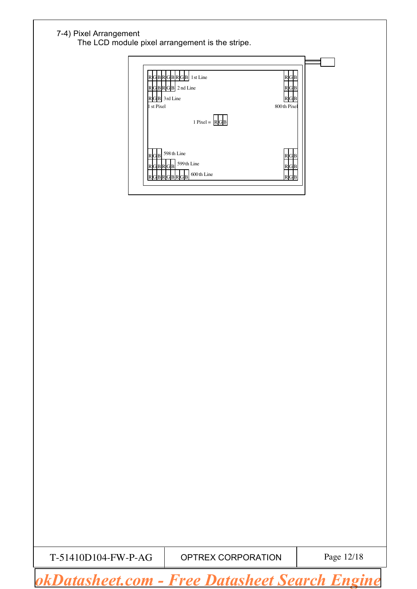#### 7-4) Pixel Arrangement

The LCD module pixel arrangement is the stripe.

| RGBRGBRGB 1st Line<br>RGBRGB 2nd Line<br>R <sub>G</sub><br>B<br>RGB 3rd Line<br>1 st Pixel<br>800th Pixel |  |
|-----------------------------------------------------------------------------------------------------------|--|
| 1 Pixel = $\begin{bmatrix}R & B\end{bmatrix}$                                                             |  |
| 598 th Line<br>$R$ GB<br>$\mathbb R$<br>G<br>B<br>599th Line<br>RGBRGB<br>R.<br>B<br>G                    |  |
| 600th Line<br>BRI<br>R<br>R                                                                               |  |

 $T-51410D104-FW-P-AG$  OPTREX CORPORATION Page 12/18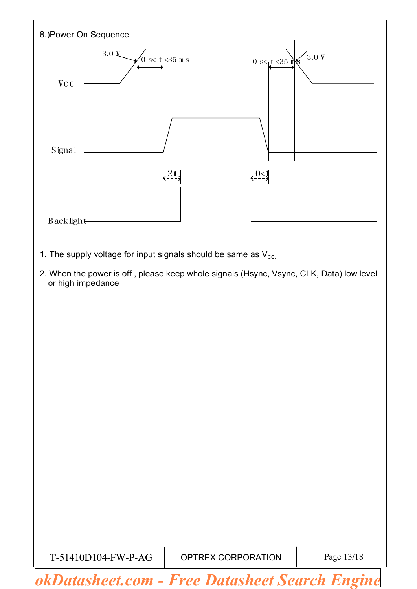

 $T-51410D104-FW-P-AG$  OPTREX CORPORATION Page 13/18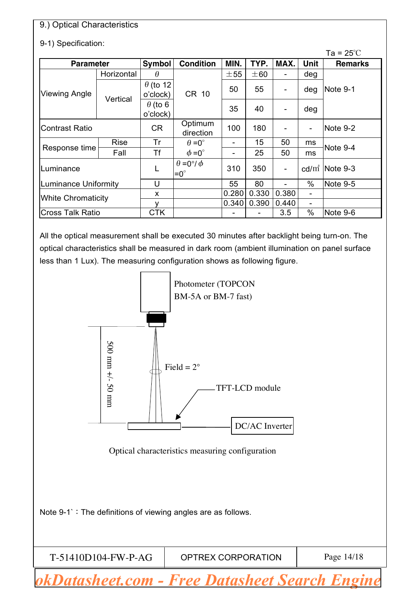### 9.) Optical Characteristics

### 9-1) Specification:

|                             | Ta = $25^{\circ}$ C |                             |                                           |       |       |                              |                 |                    |
|-----------------------------|---------------------|-----------------------------|-------------------------------------------|-------|-------|------------------------------|-----------------|--------------------|
| <b>Parameter</b>            |                     | Symbol                      | <b>Condition</b>                          | MIN.  | TYP.  | MAX.                         | Unit            | <b>Remarks</b>     |
|                             | Horizontal          | $\theta$                    |                                           | ±55   | ±60   | -                            | deg             |                    |
| <b>Viewing Angle</b>        |                     | $\theta$ (to 12<br>o'clock) | CR 10                                     | 50    | 55    | $\qquad \qquad \blacksquare$ | deg             | Note 9-1           |
|                             | Vertical            | $\theta$ (to 6<br>o'clock)  |                                           | 35    | 40    | $\qquad \qquad \blacksquare$ | deg             |                    |
| <b>Contrast Ratio</b>       |                     | <b>CR</b>                   | Optimum<br>direction                      | 100   | 180   |                              |                 | Note 9-2           |
|                             | <b>Rise</b>         | Tr                          | $\theta = 0^{\circ}$                      | -     | 15    | 50                           | ms              |                    |
| Response time               | Fall                | Τf                          | $\phi = 0^{\circ}$                        | -     | 25    | 50                           | ms              | Note 9-4           |
| Luminance                   |                     |                             | $\theta = 0^{\circ}/\phi$<br>$=0^{\circ}$ | 310   | 350   | $\overline{\phantom{0}}$     |                 | cd/ $m^2$ Note 9-3 |
| <b>Luminance Uniformity</b> |                     | U                           |                                           | 55    | 80    |                              | $\%$            | Note 9-5           |
| <b>White Chromaticity</b>   |                     | X                           |                                           | 0.280 | 0.330 | 0.380                        | $\qquad \qquad$ |                    |
|                             |                     |                             |                                           | 0.340 | 0.390 | 0.440                        | $\qquad \qquad$ |                    |
| <b>Cross Talk Ratio</b>     |                     | <b>CTK</b>                  |                                           |       |       | 3.5                          | $\%$            | Note 9-6           |

All the optical measurement shall be executed 30 minutes after backlight being turn-on. The optical characteristics shall be measured in dark room (ambient illumination on panel surface less than 1 Lux). The measuring configuration shows as following figure.



Optical characteristics measuring configuration

Note 9-1`: The definitions of viewing angles are as follows.

T

| T-51410D104-FW-P-AG | OPTREX CORPORATION | Page 14/18 |
|---------------------|--------------------|------------|
|---------------------|--------------------|------------|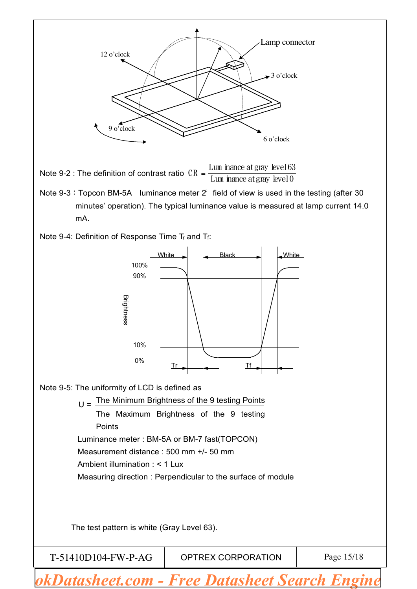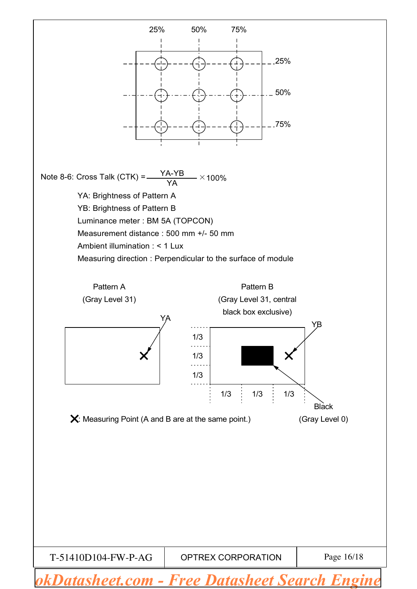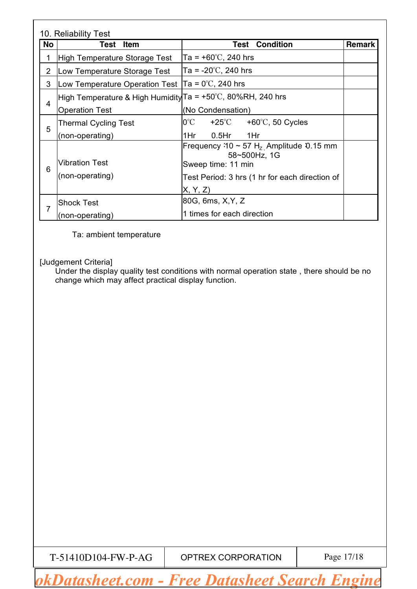|                | 10. Reliability Test                                        |                                                                                                                                                 |               |
|----------------|-------------------------------------------------------------|-------------------------------------------------------------------------------------------------------------------------------------------------|---------------|
| No             | <b>Item</b><br>Test                                         | <b>Condition</b><br>Test                                                                                                                        | <b>Remark</b> |
| 1              | High Temperature Storage Test                               | $Ta = +60^{\circ}C$ , 240 hrs                                                                                                                   |               |
| $\overline{2}$ | Low Temperature Storage Test                                | $Ta = -20^{\circ}C$ , 240 hrs                                                                                                                   |               |
| 3              | Low Temperature Operation Test $ Ta = 0^{\circ}C$ , 240 hrs |                                                                                                                                                 |               |
|                | High Temperature & High Humidity Ta = +50℃, 80%RH, 240 hrs  |                                                                                                                                                 |               |
| $\overline{4}$ | <b>Operation Test</b>                                       | (No Condensation)                                                                                                                               |               |
|                | <b>Thermal Cycling Test</b>                                 | $0^{\circ}$ C<br>$+25^{\circ}$ C $+60^{\circ}$ C, 50 Cycles                                                                                     |               |
| 5              | (non-operating)                                             | 1Hr<br>1Hr<br>$0.5$ Hr                                                                                                                          |               |
| 6              | <b>Vibration Test</b><br>(non-operating)                    | Frequency $30 \sim 57$ H <sub>z</sub> Amplitude 0.15 mm<br>58~500Hz, 1G<br>Sweep time: 11 min<br>Test Period: 3 hrs (1 hr for each direction of |               |
|                |                                                             | X, Y, Z                                                                                                                                         |               |
| $\overline{7}$ | <b>Shock Test</b>                                           | 80G, 6ms, X, Y, Z                                                                                                                               |               |
|                | (non-operating)                                             | 1 times for each direction                                                                                                                      |               |

Ta: ambient temperature

[Judgement Criteria]

Under the display quality test conditions with normal operation state , there should be no change which may affect practical display function.

 $T-51410D104-FW-P-AG$  OPTREX CORPORATION Page 17/18